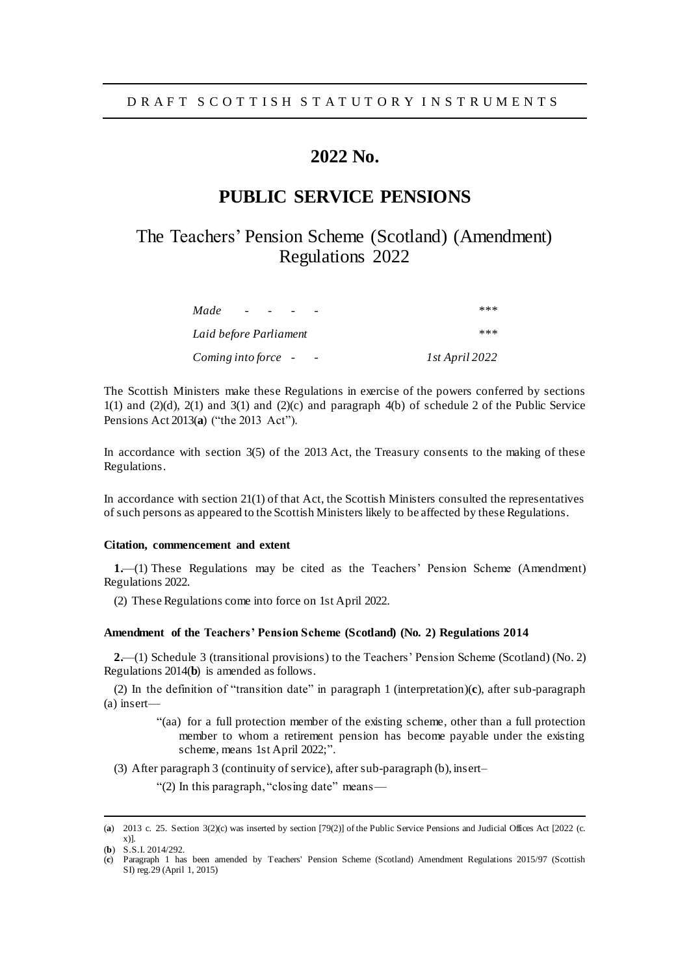# **2022 No.**

### **PUBLIC SERVICE PENSIONS**

# The Teachers' Pension Scheme (Scotland) (Amendment) Regulations 2022

| Made                   | ***            |
|------------------------|----------------|
| Laid before Parliament | ***            |
| Coming into force -    | 1st April 2022 |

The Scottish Ministers make these Regulations in exercise of the powers conferred by sections  $1(1)$  and  $2(1)$ ,  $2(1)$  and  $3(1)$  and  $(2)(c)$  and paragraph 4(b) of schedule 2 of the Public Service Pensions Act 2013(**a**) ("the 2013 Act").

In accordance with section 3(5) of the 2013 Act, the Treasury consents to the making of these Regulations.

In accordance with section 21(1) of that Act, the Scottish Ministers consulted the representatives of such persons as appeared to the Scottish Ministers likely to be affected by these Regulations.

#### **Citation, commencement and extent**

**1.**—(1) These Regulations may be cited as the Teachers' Pension Scheme (Amendment) Regulations 2022.

(2) These Regulations come into force on 1st April 2022.

#### **Amendment of the Teachers' Pension Scheme (Scotland) (No. 2) Regulations 2014**

**2.**—(1) Schedule 3 (transitional provisions) to the Teachers' Pension Scheme (Scotland) (No. 2) Regulations 2014(**b**) is amended as follows.

(2) In the definition of "transition date" in paragraph 1 (interpretation)(**c**), after sub-paragraph (a) insert—

- "(aa) for a full protection member of the existing scheme, other than a full protection member to whom a retirement pension has become payable under the existing scheme, means 1st April 2022;".
- (3) After paragraph 3 (continuity of service), after sub-paragraph (b), insert–

"(2) In this paragraph, "closing date" means—

l

<sup>(</sup>**a**) 2013 c. 25. Section 3(2)(c) was inserted by section [79(2)] of the Public Service Pensions and Judicial Offices Act [2022 (c. x)].

<sup>(</sup>**b**) S.S.I. 2014/292.

<sup>(</sup>**c**) Paragraph 1 has been amended by Teachers' Pension Scheme (Scotland) Amendment Regulations 2015/97 (Scottish SI) [reg.29](https://uk.westlaw.com/Document/I4F95D6E0C3BE11E4B825D1F3CD6D6880/View/FullText.html?originationContext=document&transitionType=DocumentItem&ppcid=120b85bdaab8422ca57591250c1ac23f&contextData=(sc.DocLink)) (April 1, 2015)